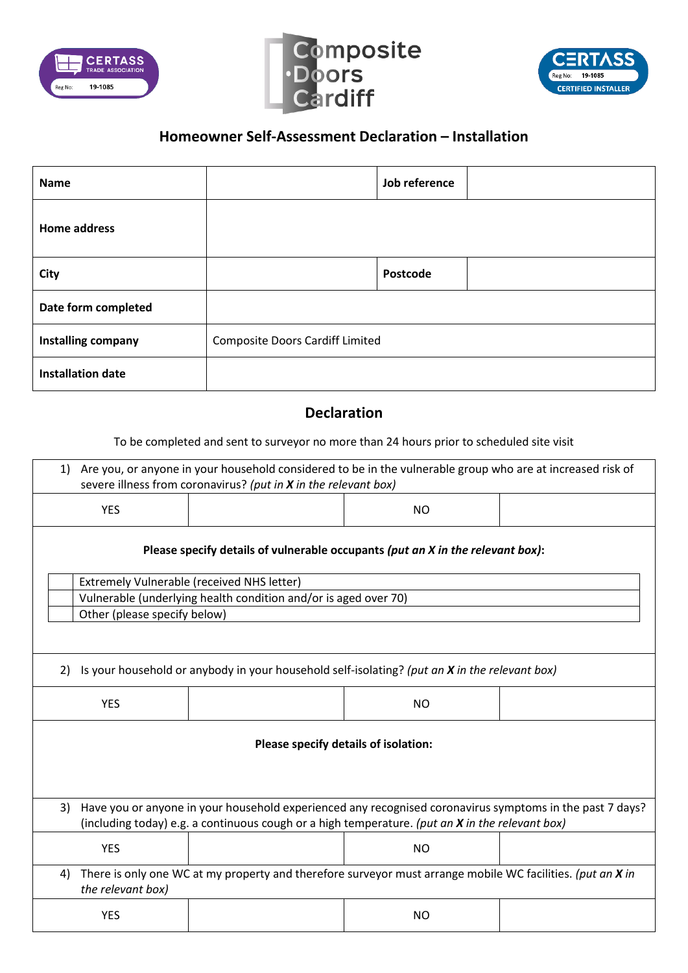





## **Homeowner Self-Assessment Declaration – Installation**

| <b>Name</b>              |                                        | Job reference |  |
|--------------------------|----------------------------------------|---------------|--|
| <b>Home address</b>      |                                        |               |  |
| City                     |                                        | Postcode      |  |
| Date form completed      |                                        |               |  |
| Installing company       | <b>Composite Doors Cardiff Limited</b> |               |  |
| <b>Installation date</b> |                                        |               |  |

## **Declaration**

To be completed and sent to surveyor no more than 24 hours prior to scheduled site visit

| Are you, or anyone in your household considered to be in the vulnerable group who are at increased risk of<br>1)<br>severe illness from coronavirus? (put in X in the relevant box)                               |                                                                 |                |  |  |  |
|-------------------------------------------------------------------------------------------------------------------------------------------------------------------------------------------------------------------|-----------------------------------------------------------------|----------------|--|--|--|
| <b>YES</b>                                                                                                                                                                                                        |                                                                 | <b>NO</b>      |  |  |  |
| Please specify details of vulnerable occupants (put an X in the relevant box):                                                                                                                                    |                                                                 |                |  |  |  |
|                                                                                                                                                                                                                   | <b>Extremely Vulnerable (received NHS letter)</b>               |                |  |  |  |
|                                                                                                                                                                                                                   | Vulnerable (underlying health condition and/or is aged over 70) |                |  |  |  |
| Other (please specify below)                                                                                                                                                                                      |                                                                 |                |  |  |  |
|                                                                                                                                                                                                                   |                                                                 |                |  |  |  |
| Is your household or anybody in your household self-isolating? (put an X in the relevant box)<br>2)                                                                                                               |                                                                 |                |  |  |  |
| <b>YES</b>                                                                                                                                                                                                        |                                                                 | N <sub>O</sub> |  |  |  |
| Please specify details of isolation:                                                                                                                                                                              |                                                                 |                |  |  |  |
|                                                                                                                                                                                                                   |                                                                 |                |  |  |  |
| Have you or anyone in your household experienced any recognised coronavirus symptoms in the past 7 days?<br>3)<br>(including today) e.g. a continuous cough or a high temperature. (put an X in the relevant box) |                                                                 |                |  |  |  |
| <b>YES</b>                                                                                                                                                                                                        |                                                                 | <b>NO</b>      |  |  |  |
| There is only one WC at my property and therefore surveyor must arrange mobile WC facilities. (put an X in<br>4)<br>the relevant box)                                                                             |                                                                 |                |  |  |  |
| <b>YES</b>                                                                                                                                                                                                        |                                                                 | <b>NO</b>      |  |  |  |